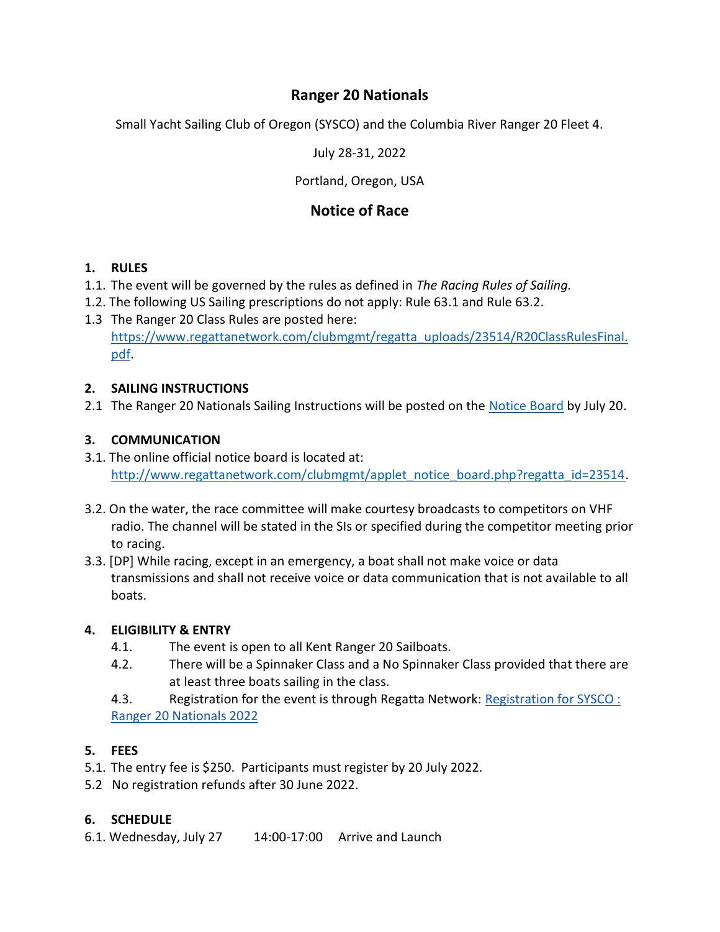# Ranger 20 Nationals

Small Yacht Sailing Club of Oregon (SYSCO) and the Columbia River Ranger 20 Fleet 4.

July 28-31, 2022

## Portland, Oregon, USA

# Notice of Race

## 1. RULES

- 1.1. The event will be governed by the rules as defined in The Racing Rules of Sailing.
- 1.2. The following US Sailing prescriptions do not apply: Rule 63.1 and Rule 63.2.
- 1.3 The Ranger 20 Class Rules are posted here: https://www.regattanetwork.com/clubmgmt/regatta\_uploads/23514/R20ClassRulesFinal. pdf.

## 2. SAILING INSTRUCTIONS

2.1 The Ranger 20 Nationals Sailing Instructions will be posted on the Notice Board by July 20.

## 3. COMMUNICATION

- 3.1. The online official notice board is located at: http://www.regattanetwork.com/clubmgmt/applet\_notice\_board.php?regatta\_id=23514.
- 3.2. On the water, the race committee will make courtesy broadcasts to competitors on VHF radio. The channel will be stated in the SIs or specified during the competitor meeting prior to racing.
- 3.3. [DP] While racing, except in an emergency, a boat shall not make voice or data transmissions and shall not receive voice or data communication that is not available to all boats.

## 4. ELIGIBILITY & ENTRY

- 4.1. The event is open to all Kent Ranger 20 Sailboats.
- 4.2. There will be a Spinnaker Class and a No Spinnaker Class provided that there are at least three boats sailing in the class.
- 4.3. Registration for the event is through Regatta Network: Registration for SYSCO: Ranger 20 Nationals 2022

## 5. FEES

- 5.1. The entry fee is \$250. Participants must register by 20 July 2022.
- 5.2 No registration refunds after 30 June 2022.

## 6. SCHEDULE

6.1. Wednesday, July 27 14:00-17:00 Arrive and Launch